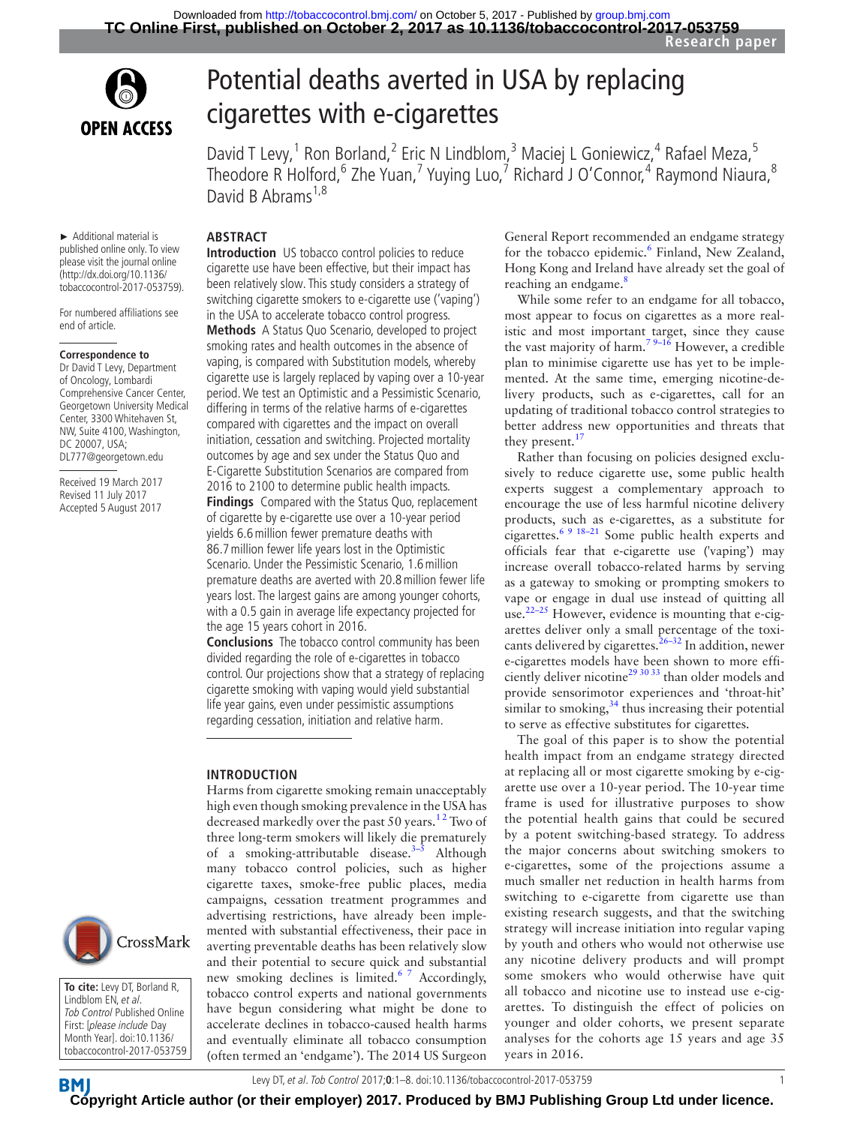

# Potential deaths averted in USA by replacing cigarettes with e-cigarettes

David T Levy,<sup>1</sup> Ron Borland,<sup>2</sup> Eric N Lindblom,<sup>3</sup> Maciej L Goniewicz,<sup>4</sup> Rafael Meza,<sup>5</sup> Theodore R Holford,<sup>6</sup> Zhe Yuan,<sup>7</sup> Yuying Luo,<sup>7</sup> Richard J O'Connor,<sup>4</sup> Raymond Niaura,<sup>8</sup> David B Abrams<sup>1,8</sup>

► Additional material is published online only. To view please visit the journal online (http://dx.doi.org/10.1136/ tobaccocontrol-2017-053759).

For numbered affiliations see end of article.

#### **Correspondence to**

Dr David T Levy, Department of Oncology, Lombardi Comprehensive Cancer Center, Georgetown University Medical Center, 3300 Whitehaven St, NW, Suite 4100, Washington, DC 20007, USA; DL777@georgetown.edu

Received 19 March 2017 Revised 11 July 2017 Accepted 5 August 2017



**To cite:** Levy DT, Borland R, Lindblom EN, et al. Tob Control Published Online First: [please include Day Month Year]. doi:10.1136/ tobaccocontrol-2017-053759

**BM** 

# **Abstract**

**Introduction** US tobacco control policies to reduce cigarette use have been effective, but their impact has been relatively slow. This study considers a strategy of switching cigarette smokers to e-cigarette use ('vaping') in the USA to accelerate tobacco control progress.

**Methods** A Status Quo Scenario, developed to project smoking rates and health outcomes in the absence of vaping, is compared with Substitution models, whereby cigarette use is largely replaced by vaping over a 10-year period. We test an Optimistic and a Pessimistic Scenario, differing in terms of the relative harms of e-cigarettes compared with cigarettes and the impact on overall initiation, cessation and switching. Projected mortality outcomes by age and sex under the Status Quo and E-Cigarette Substitution Scenarios are compared from 2016 to 2100 to determine public health impacts.

**Findings** Compared with the Status Quo, replacement of cigarette by e-cigarette use over a 10-year period yields 6.6million fewer premature deaths with 86.7million fewer life years lost in the Optimistic Scenario. Under the Pessimistic Scenario, 1.6million premature deaths are averted with 20.8million fewer life years lost. The largest gains are among younger cohorts, with a 0.5 gain in average life expectancy projected for the age 15 years cohort in 2016.

**Conclusions** The tobacco control community has been divided regarding the role of e-cigarettes in tobacco control. Our projections show that a strategy of replacing cigarette smoking with vaping would yield substantial life year gains, even under pessimistic assumptions regarding cessation, initiation and relative harm.

## **Introduction**

Harms from cigarette smoking remain unacceptably high even though smoking prevalence in the USA has decreased markedly over the past 50 years.<sup>12</sup> Two of three long-term smokers will likely die prematurely of a smoking-attributable disease. $3-\overline{5}$  Although many tobacco control policies, such as higher cigarette taxes, smoke-free public places, media campaigns, cessation treatment programmes and advertising restrictions, have already been implemented with substantial effectiveness, their pace in averting preventable deaths has been relatively slow and their potential to secure quick and substantial new smoking declines is limited.<sup>6 7</sup> Accordingly, tobacco control experts and national governments have begun considering what might be done to accelerate declines in tobacco-caused health harms and eventually eliminate all tobacco consumption (often termed an 'endgame'). The 2014 US Surgeon

General Report recommended an endgame strategy for the tobacco epidemic.<sup>6</sup> Finland, New Zealand, Hong Kong and Ireland have already set the goal of reaching an endgame.<sup>[8](#page-6-3)</sup>

While some refer to an endgame for all tobacco, most appear to focus on cigarettes as a more realistic and most important target, since they cause the vast majority of harm.<sup>79-16</sup> However, a credible plan to minimise cigarette use has yet to be implemented. At the same time, emerging nicotine-delivery products, such as e-cigarettes, call for an updating of traditional tobacco control strategies to better address new opportunities and threats that they present.<sup>[17](#page-6-5)</sup>

Rather than focusing on policies designed exclusively to reduce cigarette use, some public health experts suggest a complementary approach to encourage the use of less harmful nicotine delivery products, such as e-cigarettes, as a substitute for cigarettes[.6 9 18–21](#page-6-2) Some public health experts and officials fear that e-cigarette use ('vaping') may increase overall tobacco-related harms by serving as a gateway to smoking or prompting smokers to vape or engage in dual use instead of quitting all use.<sup>22–25</sup> However, evidence is mounting that e-cigarettes deliver only a small percentage of the toxicants delivered by cigarettes.<sup>26–32</sup> In addition, newer e-cigarettes models have been shown to more efficiently deliver nicotine<sup>29 30 33</sup> than older models and provide sensorimotor experiences and 'throat-hit' similar to smoking, $34$  thus increasing their potential to serve as effective substitutes for cigarettes.

The goal of this paper is to show the potential health impact from an endgame strategy directed at replacing all or most cigarette smoking by e-cigarette use over a 10-year period. The 10-year time frame is used for illustrative purposes to show the potential health gains that could be secured by a potent switching-based strategy. To address the major concerns about switching smokers to e-cigarettes, some of the projections assume a much smaller net reduction in health harms from switching to e-cigarette from cigarette use than existing research suggests, and that the switching strategy will increase initiation into regular vaping by youth and others who would not otherwise use any nicotine delivery products and will prompt some smokers who would otherwise have quit all tobacco and nicotine use to instead use e-cigarettes. To distinguish the effect of policies on younger and older cohorts, we present separate analyses for the cohorts age 15 years and age 35 years in 2016.

Levy DT, et al. Tob Control 2017;**0**:1–8. doi:10.1136/tobaccocontrol-2017-053759 1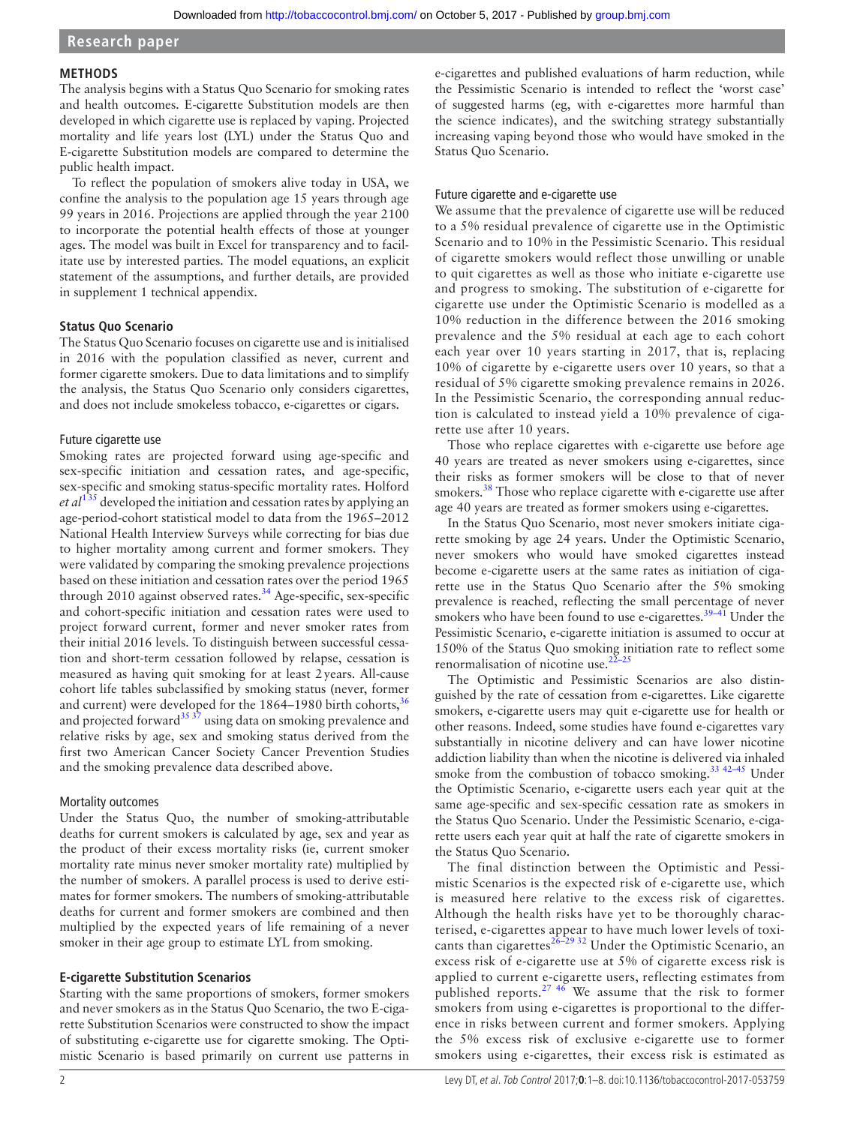#### **Methods**

The analysis begins with a Status Quo Scenario for smoking rates and health outcomes. E-cigarette Substitution models are then developed in which cigarette use is replaced by vaping. Projected mortality and life years lost (LYL) under the Status Quo and E-cigarette Substitution models are compared to determine the public health impact.

To reflect the population of smokers alive today in USA, we confine the analysis to the population age 15 years through age 99 years in 2016. Projections are applied through the year 2100 to incorporate the potential health effects of those at younger ages. The model was built in Excel for transparency and to facilitate use by interested parties. The model equations, an explicit statement of the assumptions, and further details, are provided in [supplement 1 technical appendix](https://dx.doi.org/10.1136/tobaccocontrol-2017-053759).

#### **Status Quo Scenario**

The Status Quo Scenario focuses on cigarette use and is initialised in 2016 with the population classified as never, current and former cigarette smokers. Due to data limitations and to simplify the analysis, the Status Quo Scenario only considers cigarettes, and does not include smokeless tobacco, e-cigarettes or cigars.

#### Future cigarette use

Smoking rates are projected forward using age-specific and sex-specific initiation and cessation rates, and age-specific, sex-specific and smoking status-specific mortality rates. Holford *et al*[1 35](#page-6-0) developed the initiation and cessation rates by applying an age-period-cohort statistical model to data from the 1965–2012 National Health Interview Surveys while correcting for bias due to higher mortality among current and former smokers. They were validated by comparing the smoking prevalence projections based on these initiation and cessation rates over the period 1965 through 2010 against observed rates. $34$  Age-specific, sex-specific and cohort-specific initiation and cessation rates were used to project forward current, former and never smoker rates from their initial 2016 levels. To distinguish between successful cessation and short-term cessation followed by relapse, cessation is measured as having quit smoking for at least 2years. All-cause cohort life tables subclassified by smoking status (never, former and current) were developed for the  $1864-1980$  birth cohorts,  $36$ and projected forward $3537$  using data on smoking prevalence and relative risks by age, sex and smoking status derived from the first two American Cancer Society Cancer Prevention Studies and the smoking prevalence data described above.

#### Mortality outcomes

Under the Status Quo, the number of smoking-attributable deaths for current smokers is calculated by age, sex and year as the product of their excess mortality risks (ie, current smoker mortality rate minus never smoker mortality rate) multiplied by the number of smokers. A parallel process is used to derive estimates for former smokers. The numbers of smoking-attributable deaths for current and former smokers are combined and then multiplied by the expected years of life remaining of a never smoker in their age group to estimate LYL from smoking.

#### **E-cigarette Substitution Scenarios**

Starting with the same proportions of smokers, former smokers and never smokers as in the Status Quo Scenario, the two E-cigarette Substitution Scenarios were constructed to show the impact of substituting e-cigarette use for cigarette smoking. The Optimistic Scenario is based primarily on current use patterns in

e-cigarettes and published evaluations of harm reduction, while the Pessimistic Scenario is intended to reflect the 'worst case' of suggested harms (eg, with e-cigarettes more harmful than the science indicates), and the switching strategy substantially increasing vaping beyond those who would have smoked in the Status Quo Scenario.

#### Future cigarette and e-cigarette use

We assume that the prevalence of cigarette use will be reduced to a 5% residual prevalence of cigarette use in the Optimistic Scenario and to 10% in the Pessimistic Scenario. This residual of cigarette smokers would reflect those unwilling or unable to quit cigarettes as well as those who initiate e-cigarette use and progress to smoking. The substitution of e-cigarette for cigarette use under the Optimistic Scenario is modelled as a 10% reduction in the difference between the 2016 smoking prevalence and the 5% residual at each age to each cohort each year over 10 years starting in 2017, that is, replacing 10% of cigarette by e-cigarette users over 10 years, so that a residual of 5% cigarette smoking prevalence remains in 2026. In the Pessimistic Scenario, the corresponding annual reduction is calculated to instead yield a 10% prevalence of cigarette use after 10 years.

Those who replace cigarettes with e-cigarette use before age 40 years are treated as never smokers using e-cigarettes, since their risks as former smokers will be close to that of never smokers.<sup>[38](#page-7-6)</sup> Those who replace cigarette with e-cigarette use after age 40 years are treated as former smokers using e-cigarettes.

In the Status Quo Scenario, most never smokers initiate cigarette smoking by age 24 years. Under the Optimistic Scenario, never smokers who would have smoked cigarettes instead become e-cigarette users at the same rates as initiation of cigarette use in the Status Quo Scenario after the 5% smoking prevalence is reached, reflecting the small percentage of never smokers who have been found to use e-cigarettes. $39-41$  Under the Pessimistic Scenario, e-cigarette initiation is assumed to occur at 150% of the Status Quo smoking initiation rate to reflect some renormalisation of nicotine use. $22-25$ 

The Optimistic and Pessimistic Scenarios are also distinguished by the rate of cessation from e-cigarettes. Like cigarette smokers, e-cigarette users may quit e-cigarette use for health or other reasons. Indeed, some studies have found e-cigarettes vary substantially in nicotine delivery and can have lower nicotine addiction liability than when the nicotine is delivered via inhaled smoke from the combustion of tobacco smoking.<sup>33 42-45</sup> Under the Optimistic Scenario, e-cigarette users each year quit at the same age-specific and sex-specific cessation rate as smokers in the Status Quo Scenario. Under the Pessimistic Scenario, e-cigarette users each year quit at half the rate of cigarette smokers in the Status Quo Scenario.

The final distinction between the Optimistic and Pessimistic Scenarios is the expected risk of e-cigarette use, which is measured here relative to the excess risk of cigarettes. Although the health risks have yet to be thoroughly characterised, e-cigarettes appear to have much lower levels of toxicants than cigarettes<sup>26–29 32</sup> Under the Optimistic Scenario, an excess risk of e-cigarette use at 5% of cigarette excess risk is applied to current e-cigarette users, reflecting estimates from published reports.<sup>27</sup> <sup>46</sup> We assume that the risk to former smokers from using e-cigarettes is proportional to the difference in risks between current and former smokers. Applying the 5% excess risk of exclusive e-cigarette use to former smokers using e-cigarettes, their excess risk is estimated as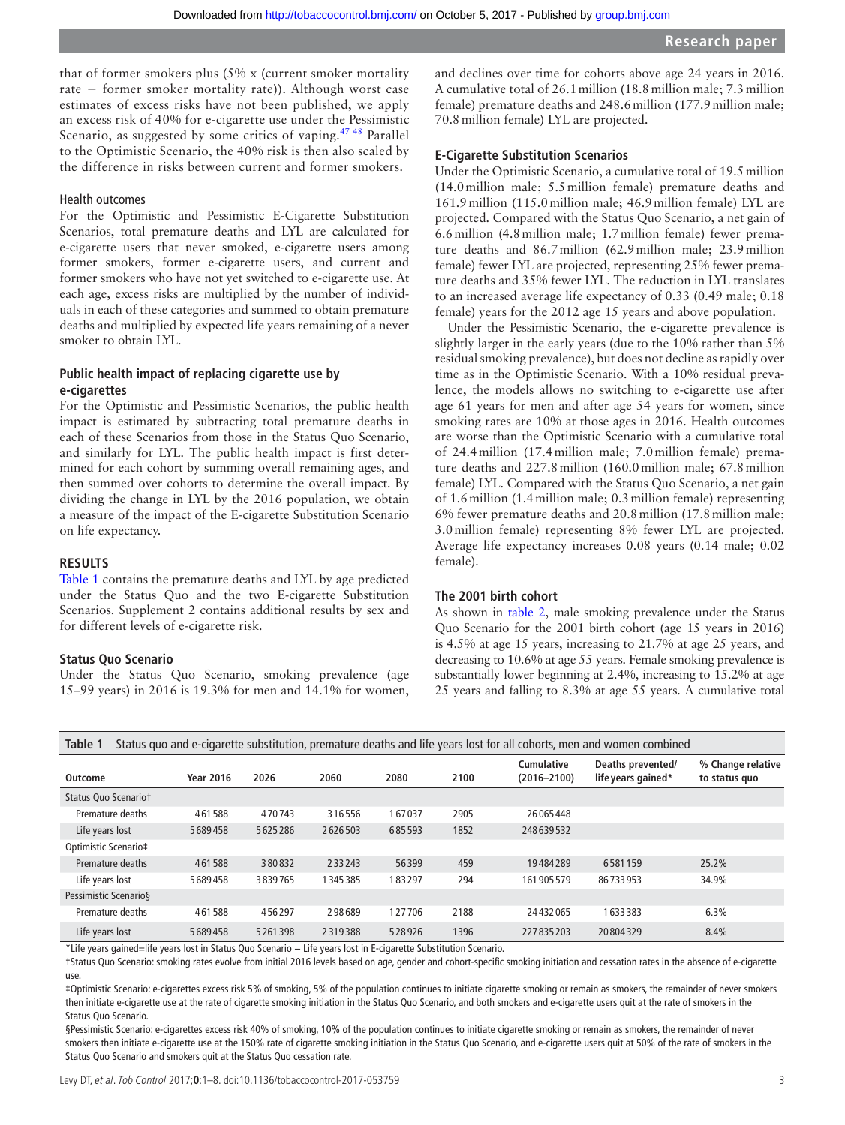that of former smokers plus (5% x (current smoker mortality rate − former smoker mortality rate)). Although worst case estimates of excess risks have not been published, we apply an excess risk of 40% for e-cigarette use under the Pessimistic Scenario, as suggested by some critics of vaping.<sup>47 48</sup> Parallel to the Optimistic Scenario, the 40% risk is then also scaled by the difference in risks between current and former smokers.

## Health outcomes

For the Optimistic and Pessimistic E-Cigarette Substitution Scenarios, total premature deaths and LYL are calculated for e-cigarette users that never smoked, e-cigarette users among former smokers, former e-cigarette users, and current and former smokers who have not yet switched to e-cigarette use. At each age, excess risks are multiplied by the number of individuals in each of these categories and summed to obtain premature deaths and multiplied by expected life years remaining of a never smoker to obtain LYL.

# **Public health impact of replacing cigarette use by e-cigarettes**

For the Optimistic and Pessimistic Scenarios, the public health impact is estimated by subtracting total premature deaths in each of these Scenarios from those in the Status Quo Scenario, and similarly for LYL. The public health impact is first determined for each cohort by summing overall remaining ages, and then summed over cohorts to determine the overall impact. By dividing the change in LYL by the 2016 population, we obtain a measure of the impact of the E-cigarette Substitution Scenario on life expectancy.

#### **Results**

[Table](#page-2-0) 1 contains the premature deaths and LYL by age predicted under the Status Quo and the two E-cigarette Substitution Scenarios. [Supplement 2](https://dx.doi.org/10.1136/tobaccocontrol-2017-053759) contains additional results by sex and for different levels of e-cigarette risk.

#### **Status Quo Scenario**

Under the Status Quo Scenario, smoking prevalence (age 15–99 years) in 2016 is 19.3% for men and 14.1% for women,

and declines over time for cohorts above age 24 years in 2016. A cumulative total of 26.1million (18.8million male; 7.3million female) premature deaths and 248.6million (177.9million male; 70.8million female) LYL are projected.

#### **E-Cigarette Substitution Scenarios**

Under the Optimistic Scenario, a cumulative total of 19.5million (14.0million male; 5.5million female) premature deaths and 161.9million (115.0million male; 46.9million female) LYL are projected. Compared with the Status Quo Scenario, a net gain of 6.6million (4.8million male; 1.7million female) fewer premature deaths and 86.7million (62.9million male; 23.9million female) fewer LYL are projected, representing 25% fewer premature deaths and 35% fewer LYL. The reduction in LYL translates to an increased average life expectancy of 0.33 (0.49 male; 0.18 female) years for the 2012 age 15 years and above population.

Under the Pessimistic Scenario, the e-cigarette prevalence is slightly larger in the early years (due to the 10% rather than 5% residual smoking prevalence), but does not decline as rapidly over time as in the Optimistic Scenario. With a 10% residual prevalence, the models allows no switching to e-cigarette use after age 61 years for men and after age 54 years for women, since smoking rates are 10% at those ages in 2016. Health outcomes are worse than the Optimistic Scenario with a cumulative total of 24.4million (17.4million male; 7.0million female) premature deaths and 227.8million (160.0million male; 67.8million female) LYL. Compared with the Status Quo Scenario, a net gain of 1.6million (1.4million male; 0.3million female) representing 6% fewer premature deaths and 20.8million (17.8million male; 3.0million female) representing 8% fewer LYL are projected. Average life expectancy increases 0.08 years (0.14 male; 0.02 female).

#### **The 2001 birth cohort**

As shown in [table](#page-3-0) 2, male smoking prevalence under the Status Quo Scenario for the 2001 birth cohort (age 15 years in 2016) is 4.5% at age 15 years, increasing to 21.7% at age 25 years, and decreasing to 10.6% at age 55 years. Female smoking prevalence is substantially lower beginning at 2.4%, increasing to 15.2% at age 25 years and falling to 8.3% at age 55 years. A cumulative total

<span id="page-2-0"></span>

| Table 1<br>Status quo and e-cigarette substitution, premature deaths and life years lost for all cohorts, men and women combined |                  |         |         |        |      |                               |                                         |                                    |
|----------------------------------------------------------------------------------------------------------------------------------|------------------|---------|---------|--------|------|-------------------------------|-----------------------------------------|------------------------------------|
| Outcome                                                                                                                          | <b>Year 2016</b> | 2026    | 2060    | 2080   | 2100 | Cumulative<br>$(2016 - 2100)$ | Deaths prevented/<br>life years gained* | % Change relative<br>to status quo |
| Status Quo Scenariot                                                                                                             |                  |         |         |        |      |                               |                                         |                                    |
| Premature deaths                                                                                                                 | 461588           | 470743  | 316556  | 167037 | 2905 | 26065448                      |                                         |                                    |
| Life years lost                                                                                                                  | 5689458          | 5625286 | 2626503 | 685593 | 1852 | 248639532                     |                                         |                                    |
| Optimistic Scenario‡                                                                                                             |                  |         |         |        |      |                               |                                         |                                    |
| Premature deaths                                                                                                                 | 461588           | 380832  | 233243  | 56399  | 459  | 19484289                      | 6581159                                 | 25.2%                              |
| Life years lost                                                                                                                  | 5689458          | 3839765 | 1345385 | 183297 | 294  | 161 905 579                   | 86733953                                | 34.9%                              |
| Pessimistic Scenario§                                                                                                            |                  |         |         |        |      |                               |                                         |                                    |
| Premature deaths                                                                                                                 | 461588           | 456297  | 298689  | 127706 | 2188 | 24 4 32 0 65                  | 1633383                                 | 6.3%                               |
| Life years lost                                                                                                                  | 5689458          | 5261398 | 2319388 | 528926 | 1396 | 227835203                     | 20804329                                | 8.4%                               |

\*Life years gained=life years lost in Status Quo Scenario − Life years lost in E-cigarette Substitution Scenario.

†Status Quo Scenario: smoking rates evolve from initial 2016 levels based on age, gender and cohort-specific smoking initiation and cessation rates in the absence of e-cigarette use.

‡Optimistic Scenario: e-cigarettes excess risk 5% of smoking, 5% of the population continues to initiate cigarette smoking or remain as smokers, the remainder of never smokers then initiate e-cigarette use at the rate of cigarette smoking initiation in the Status Quo Scenario, and both smokers and e-cigarette users quit at the rate of smokers in the Status Quo Scenario.

§Pessimistic Scenario: e-cigarettes excess risk 40% of smoking, 10% of the population continues to initiate cigarette smoking or remain as smokers, the remainder of never smokers then initiate e-cigarette use at the 150% rate of cigarette smoking initiation in the Status Quo Scenario, and e-cigarette users quit at 50% of the rate of smokers in the Status Quo Scenario and smokers quit at the Status Quo cessation rate.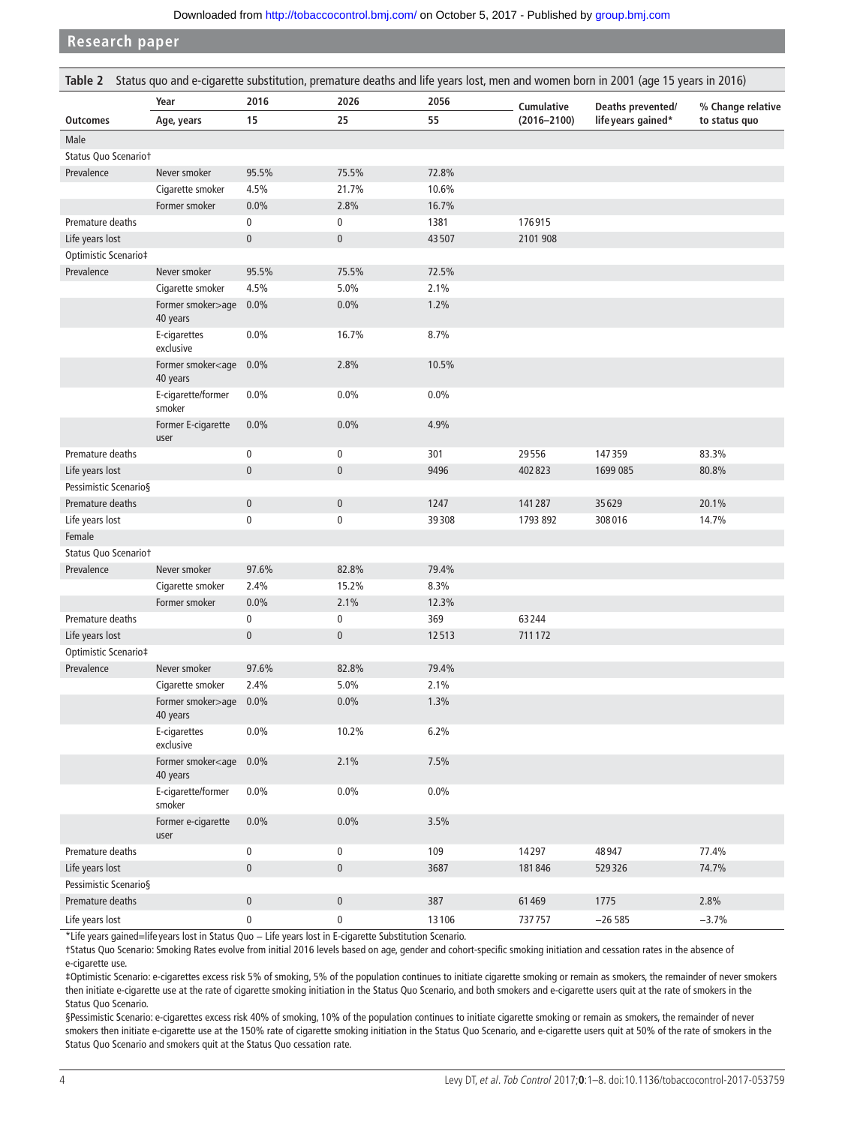<span id="page-3-0"></span>

| Table 2 Status quo and e-cigarette substitution, premature deaths and life years lost, men and women born in 2001 (age 15 years in 2016) |                                              |              |             |       |                 |                    |                   |
|------------------------------------------------------------------------------------------------------------------------------------------|----------------------------------------------|--------------|-------------|-------|-----------------|--------------------|-------------------|
|                                                                                                                                          | Year                                         | 2016         | 2026        | 2056  | Cumulative      | Deaths prevented/  | % Change relative |
| Outcomes                                                                                                                                 | Age, years                                   | 15           | 25          | 55    | $(2016 - 2100)$ | life years gained* | to status quo     |
| Male                                                                                                                                     |                                              |              |             |       |                 |                    |                   |
| Status Quo Scenariot                                                                                                                     |                                              |              |             |       |                 |                    |                   |
| Prevalence                                                                                                                               | Never smoker                                 | 95.5%        | 75.5%       | 72.8% |                 |                    |                   |
|                                                                                                                                          | Cigarette smoker                             | 4.5%         | 21.7%       | 10.6% |                 |                    |                   |
|                                                                                                                                          | Former smoker                                | 0.0%         | 2.8%        | 16.7% |                 |                    |                   |
| Premature deaths                                                                                                                         |                                              | $\pmb{0}$    | $\pmb{0}$   | 1381  | 176915          |                    |                   |
| Life years lost                                                                                                                          |                                              | $\pmb{0}$    | $\pmb{0}$   | 43507 | 2101 908        |                    |                   |
| Optimistic Scenario‡                                                                                                                     |                                              |              |             |       |                 |                    |                   |
| Prevalence                                                                                                                               | Never smoker                                 | 95.5%        | 75.5%       | 72.5% |                 |                    |                   |
|                                                                                                                                          | Cigarette smoker                             | 4.5%         | 5.0%        | 2.1%  |                 |                    |                   |
|                                                                                                                                          | Former smoker>age 0.0%<br>40 years           |              | 0.0%        | 1.2%  |                 |                    |                   |
|                                                                                                                                          | E-cigarettes<br>exclusive                    | 0.0%         | 16.7%       | 8.7%  |                 |                    |                   |
|                                                                                                                                          | Former smoker <age<br>40 years</age<br>      | 0.0%         | 2.8%        | 10.5% |                 |                    |                   |
|                                                                                                                                          | E-cigarette/former<br>smoker                 | 0.0%         | 0.0%        | 0.0%  |                 |                    |                   |
|                                                                                                                                          | Former E-cigarette<br>user                   | 0.0%         | 0.0%        | 4.9%  |                 |                    |                   |
| Premature deaths                                                                                                                         |                                              | $\pmb{0}$    | $\pmb{0}$   | 301   | 29556           | 147359             | 83.3%             |
| Life years lost                                                                                                                          |                                              | $\pmb{0}$    | $\pmb{0}$   | 9496  | 402823          | 1699 085           | 80.8%             |
| Pessimistic Scenario§                                                                                                                    |                                              |              |             |       |                 |                    |                   |
| Premature deaths                                                                                                                         |                                              | $\pmb{0}$    | $\pmb{0}$   | 1247  | 141287          | 35629              | 20.1%             |
| Life years lost                                                                                                                          |                                              | $\pmb{0}$    | $\pmb{0}$   | 39308 | 1793 892        | 308016             | 14.7%             |
| Female                                                                                                                                   |                                              |              |             |       |                 |                    |                   |
| Status Quo Scenariot                                                                                                                     |                                              |              |             |       |                 |                    |                   |
| Prevalence                                                                                                                               | Never smoker                                 | 97.6%        | 82.8%       | 79.4% |                 |                    |                   |
|                                                                                                                                          | Cigarette smoker                             | 2.4%         | 15.2%       | 8.3%  |                 |                    |                   |
|                                                                                                                                          | Former smoker                                | 0.0%         | 2.1%        | 12.3% |                 |                    |                   |
| Premature deaths                                                                                                                         |                                              | 0            | $\pmb{0}$   | 369   | 63244           |                    |                   |
| Life years lost                                                                                                                          |                                              | $\pmb{0}$    | $\pmb{0}$   | 12513 | 711172          |                    |                   |
| Optimistic Scenario‡                                                                                                                     |                                              |              |             |       |                 |                    |                   |
| Prevalence                                                                                                                               | Never smoker                                 | 97.6%        | 82.8%       | 79.4% |                 |                    |                   |
|                                                                                                                                          | Cigarette smoker                             | 2.4%         | 5.0%        | 2.1%  |                 |                    |                   |
|                                                                                                                                          | Former smoker>age 0.0%<br>40 years           |              | 0.0%        | 1.3%  |                 |                    |                   |
|                                                                                                                                          | E-cigarettes<br>exclusive                    | $0.0\%$      | 10.2%       | 6.2%  |                 |                    |                   |
|                                                                                                                                          | Former smoker <age 0.0%<br="">40 years</age> |              | 2.1%        | 7.5%  |                 |                    |                   |
|                                                                                                                                          | E-cigarette/former<br>smoker                 | 0.0%         | $0.0\%$     | 0.0%  |                 |                    |                   |
|                                                                                                                                          | Former e-cigarette<br>user                   | 0.0%         | 0.0%        | 3.5%  |                 |                    |                   |
| Premature deaths                                                                                                                         |                                              | $\mathbf 0$  | $\pmb{0}$   | 109   | 14297           | 48947              | 77.4%             |
| Life years lost                                                                                                                          |                                              | $\mathbf{0}$ | $\pmb{0}$   | 3687  | 181846          | 529326             | 74.7%             |
| Pessimistic Scenario§                                                                                                                    |                                              |              |             |       |                 |                    |                   |
| Premature deaths                                                                                                                         |                                              | $\mathbf 0$  | $\mathbf 0$ | 387   | 61469           | 1775               | 2.8%              |
| Life years lost                                                                                                                          |                                              | 0            | $\pmb{0}$   | 13106 | 737757          | $-26585$           | $-3.7%$           |

\*Life years gained=life years lost in Status Quo − Life years lost in E-cigarette Substitution Scenario.

†Status Quo Scenario: Smoking Rates evolve from initial 2016 levels based on age, gender and cohort-specific smoking initiation and cessation rates in the absence of e-cigarette use.

‡Optimistic Scenario: e-cigarettes excess risk 5% of smoking, 5% of the population continues to initiate cigarette smoking or remain as smokers, the remainder of never smokers then initiate e-cigarette use at the rate of cigarette smoking initiation in the Status Quo Scenario, and both smokers and e-cigarette users quit at the rate of smokers in the Status Quo Scenario.

§Pessimistic Scenario: e-cigarettes excess risk 40% of smoking, 10% of the population continues to initiate cigarette smoking or remain as smokers, the remainder of never smokers then initiate e-cigarette use at the 150% rate of cigarette smoking initiation in the Status Quo Scenario, and e-cigarette users quit at 50% of the rate of smokers in the Status Quo Scenario and smokers quit at the Status Quo cessation rate.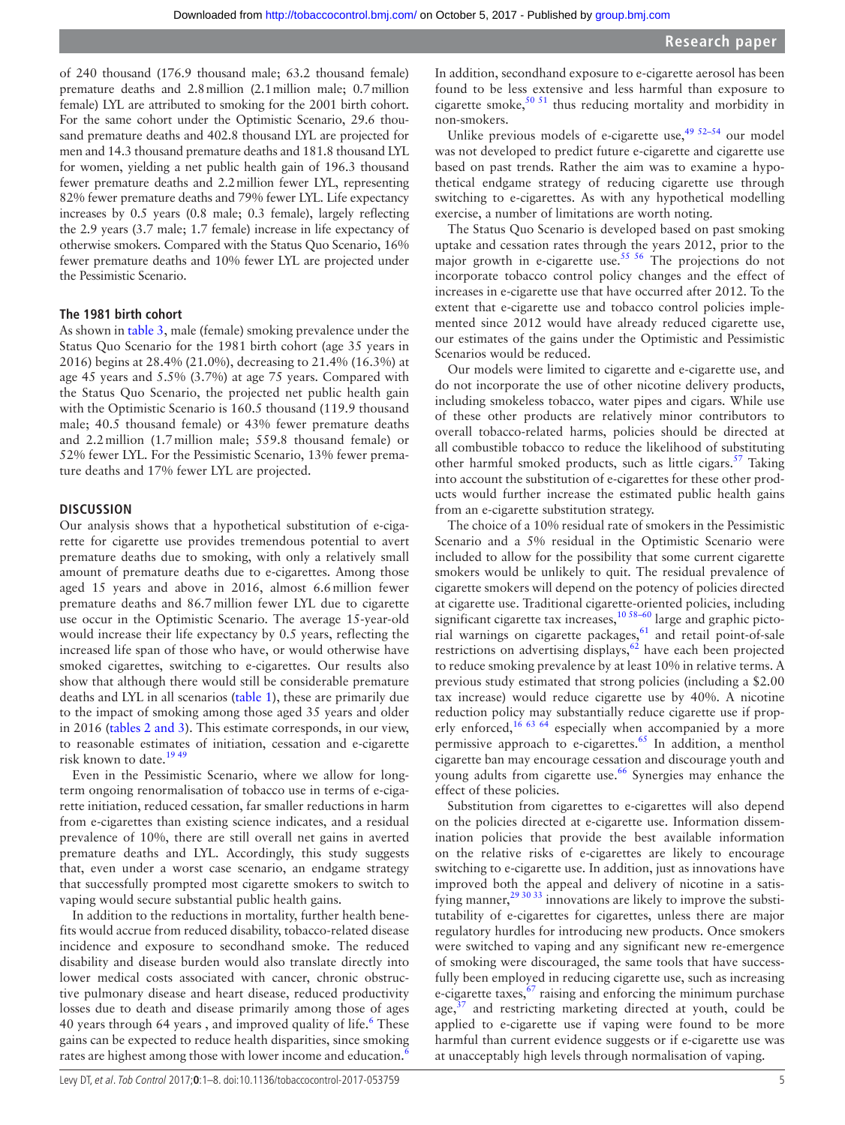of 240 thousand (176.9 thousand male; 63.2 thousand female) premature deaths and 2.8million (2.1million male; 0.7million female) LYL are attributed to smoking for the 2001 birth cohort. For the same cohort under the Optimistic Scenario, 29.6 thousand premature deaths and 402.8 thousand LYL are projected for men and 14.3 thousand premature deaths and 181.8 thousand LYL for women, yielding a net public health gain of 196.3 thousand fewer premature deaths and 2.2million fewer LYL, representing 82% fewer premature deaths and 79% fewer LYL. Life expectancy increases by 0.5 years (0.8 male; 0.3 female), largely reflecting the 2.9 years (3.7 male; 1.7 female) increase in life expectancy of otherwise smokers. Compared with the Status Quo Scenario, 16% fewer premature deaths and 10% fewer LYL are projected under the Pessimistic Scenario.

#### **The 1981 birth cohort**

As shown in [table](#page-5-0) 3, male (female) smoking prevalence under the Status Quo Scenario for the 1981 birth cohort (age 35 years in 2016) begins at 28.4% (21.0%), decreasing to 21.4% (16.3%) at age 45 years and 5.5% (3.7%) at age 75 years. Compared with the Status Quo Scenario, the projected net public health gain with the Optimistic Scenario is 160.5 thousand (119.9 thousand male; 40.5 thousand female) or 43% fewer premature deaths and 2.2million (1.7million male; 559.8 thousand female) or 52% fewer LYL. For the Pessimistic Scenario, 13% fewer premature deaths and 17% fewer LYL are projected.

#### **Discussion**

Our analysis shows that a hypothetical substitution of e-cigarette for cigarette use provides tremendous potential to avert premature deaths due to smoking, with only a relatively small amount of premature deaths due to e-cigarettes. Among those aged 15 years and above in 2016, almost 6.6million fewer premature deaths and 86.7million fewer LYL due to cigarette use occur in the Optimistic Scenario. The average 15-year-old would increase their life expectancy by 0.5 years, reflecting the increased life span of those who have, or would otherwise have smoked cigarettes, switching to e-cigarettes. Our results also show that although there would still be considerable premature deaths and LYL in all scenarios ([table](#page-2-0) 1), these are primarily due to the impact of smoking among those aged 35 years and older in 2016 (tables [2 and 3\)](#page-3-0). This estimate corresponds, in our view, to reasonable estimates of initiation, cessation and e-cigarette risk known to date.<sup>1949</sup>

Even in the Pessimistic Scenario, where we allow for longterm ongoing renormalisation of tobacco use in terms of e-cigarette initiation, reduced cessation, far smaller reductions in harm from e-cigarettes than existing science indicates, and a residual prevalence of 10%, there are still overall net gains in averted premature deaths and LYL. Accordingly, this study suggests that, even under a worst case scenario, an endgame strategy that successfully prompted most cigarette smokers to switch to vaping would secure substantial public health gains.

In addition to the reductions in mortality, further health benefits would accrue from reduced disability, tobacco-related disease incidence and exposure to secondhand smoke. The reduced disability and disease burden would also translate directly into lower medical costs associated with cancer, chronic obstructive pulmonary disease and heart disease, reduced productivity losses due to death and disease primarily among those of ages 40 years through 64 years, and improved quality of life.<sup>6</sup> These gains can be expected to reduce health disparities, since smoking rates are highest among those with lower income and education.<sup>[6](#page-6-2)</sup>

In addition, secondhand exposure to e-cigarette aerosol has been found to be less extensive and less harmful than exposure to cigarette smoke, $50 \times 51$  thus reducing mortality and morbidity in non-smokers.

Unlike previous models of e-cigarette use,  $4952-54$  our model was not developed to predict future e-cigarette and cigarette use based on past trends. Rather the aim was to examine a hypothetical endgame strategy of reducing cigarette use through switching to e-cigarettes. As with any hypothetical modelling exercise, a number of limitations are worth noting.

The Status Quo Scenario is developed based on past smoking uptake and cessation rates through the years 2012, prior to the major growth in e-cigarette use.<sup>[55 56](#page-7-13)</sup> The projections do not incorporate tobacco control policy changes and the effect of increases in e-cigarette use that have occurred after 2012. To the extent that e-cigarette use and tobacco control policies implemented since 2012 would have already reduced cigarette use, our estimates of the gains under the Optimistic and Pessimistic Scenarios would be reduced.

Our models were limited to cigarette and e-cigarette use, and do not incorporate the use of other nicotine delivery products, including smokeless tobacco, water pipes and cigars. While use of these other products are relatively minor contributors to overall tobacco-related harms, policies should be directed at all combustible tobacco to reduce the likelihood of substituting other harmful smoked products, such as little cigars.<sup>57</sup> Taking into account the substitution of e-cigarettes for these other products would further increase the estimated public health gains from an e-cigarette substitution strategy.

The choice of a 10% residual rate of smokers in the Pessimistic Scenario and a 5% residual in the Optimistic Scenario were included to allow for the possibility that some current cigarette smokers would be unlikely to quit. The residual prevalence of cigarette smokers will depend on the potency of policies directed at cigarette use. Traditional cigarette-oriented policies, including significant cigarette tax increases, $10\,58-60$  large and graphic pictorial warnings on cigarette packages,<sup>61</sup> and retail point-of-sale restrictions on advertising displays,  $62$  have each been projected to reduce smoking prevalence by at least 10% in relative terms. A previous study estimated that strong policies (including a \$2.00 tax increase) would reduce cigarette use by 40%. A nicotine reduction policy may substantially reduce cigarette use if properly enforced,  $16\,63\,64$  especially when accompanied by a more permissive approach to e-cigarettes.<sup>65</sup> In addition, a menthol cigarette ban may encourage cessation and discourage youth and young adults from cigarette use.<sup>[66](#page-7-18)</sup> Synergies may enhance the effect of these policies.

Substitution from cigarettes to e-cigarettes will also depend on the policies directed at e-cigarette use. Information dissemination policies that provide the best available information on the relative risks of e-cigarettes are likely to encourage switching to e-cigarette use. In addition, just as innovations have improved both the appeal and delivery of nicotine in a satisfying manner,<sup>29 30 33</sup> innovations are likely to improve the substitutability of e-cigarettes for cigarettes, unless there are major regulatory hurdles for introducing new products. Once smokers were switched to vaping and any significant new re-emergence of smoking were discouraged, the same tools that have successfully been employed in reducing cigarette use, such as increasing e-cigarette taxes, $67$  raising and enforcing the minimum purchase age, $37$  and restricting marketing directed at youth, could be applied to e-cigarette use if vaping were found to be more harmful than current evidence suggests or if e-cigarette use was at unacceptably high levels through normalisation of vaping.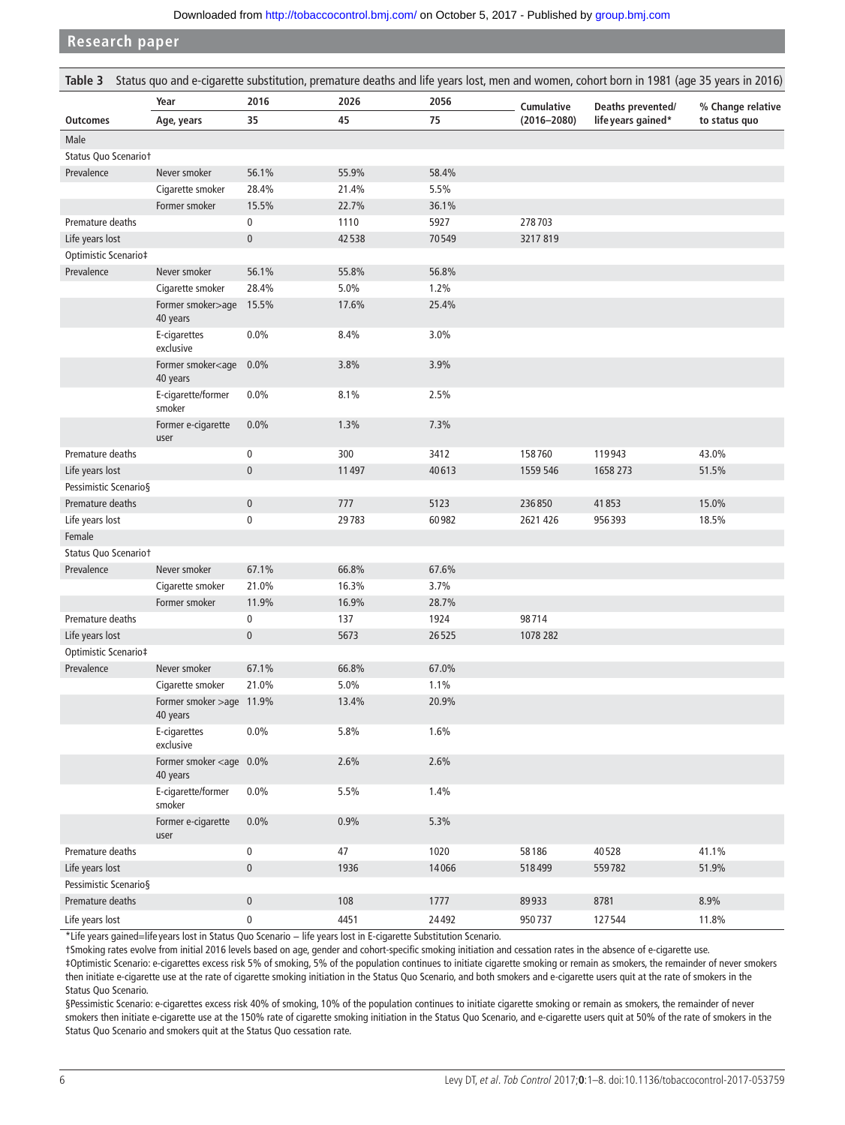<span id="page-5-0"></span>

| Status quo and e-cigarette substitution, premature deaths and life years lost, men and women, cohort born in 1981 (age 35 years in 2016)<br>Table 3 |                                              |              |       |       |                 |                    |                   |
|-----------------------------------------------------------------------------------------------------------------------------------------------------|----------------------------------------------|--------------|-------|-------|-----------------|--------------------|-------------------|
|                                                                                                                                                     | Year                                         | 2016         | 2026  | 2056  | Cumulative      | Deaths prevented/  | % Change relative |
| <b>Outcomes</b>                                                                                                                                     | Age, years                                   | 35           | 45    | 75    | $(2016 - 2080)$ | life years gained* | to status quo     |
| Male                                                                                                                                                |                                              |              |       |       |                 |                    |                   |
| Status Quo Scenariot                                                                                                                                |                                              |              |       |       |                 |                    |                   |
| Prevalence                                                                                                                                          | Never smoker                                 | 56.1%        | 55.9% | 58.4% |                 |                    |                   |
|                                                                                                                                                     | Cigarette smoker                             | 28.4%        | 21.4% | 5.5%  |                 |                    |                   |
|                                                                                                                                                     | Former smoker                                | 15.5%        | 22.7% | 36.1% |                 |                    |                   |
| Premature deaths                                                                                                                                    |                                              | $\pmb{0}$    | 1110  | 5927  | 278703          |                    |                   |
| Life years lost                                                                                                                                     |                                              | $\pmb{0}$    | 42538 | 70549 | 3217819         |                    |                   |
| Optimistic Scenario‡                                                                                                                                |                                              |              |       |       |                 |                    |                   |
| Prevalence                                                                                                                                          | Never smoker                                 | 56.1%        | 55.8% | 56.8% |                 |                    |                   |
|                                                                                                                                                     | Cigarette smoker                             | 28.4%        | 5.0%  | 1.2%  |                 |                    |                   |
|                                                                                                                                                     | Former smoker>age 15.5%<br>40 years          |              | 17.6% | 25.4% |                 |                    |                   |
|                                                                                                                                                     | E-cigarettes<br>exclusive                    | 0.0%         | 8.4%  | 3.0%  |                 |                    |                   |
|                                                                                                                                                     | Former smoker <age<br>40 years</age<br>      | 0.0%         | 3.8%  | 3.9%  |                 |                    |                   |
|                                                                                                                                                     | E-cigarette/former<br>smoker                 | 0.0%         | 8.1%  | 2.5%  |                 |                    |                   |
|                                                                                                                                                     | Former e-cigarette<br>user                   | 0.0%         | 1.3%  | 7.3%  |                 |                    |                   |
| Premature deaths                                                                                                                                    |                                              | $\bf{0}$     | 300   | 3412  | 158760          | 119943             | 43.0%             |
| Life years lost                                                                                                                                     |                                              | $\mathbf{0}$ | 11497 | 40613 | 1559 546        | 1658 273           | 51.5%             |
| Pessimistic Scenario§                                                                                                                               |                                              |              |       |       |                 |                    |                   |
| Premature deaths                                                                                                                                    |                                              | $\pmb{0}$    | 777   | 5123  | 236850          | 41853              | 15.0%             |
| Life years lost                                                                                                                                     |                                              | $\pmb{0}$    | 29783 | 60982 | 2621 426        | 956393             | 18.5%             |
| Female                                                                                                                                              |                                              |              |       |       |                 |                    |                   |
| Status Quo Scenariot                                                                                                                                |                                              |              |       |       |                 |                    |                   |
| Prevalence                                                                                                                                          | Never smoker                                 | 67.1%        | 66.8% | 67.6% |                 |                    |                   |
|                                                                                                                                                     | Cigarette smoker                             | 21.0%        | 16.3% | 3.7%  |                 |                    |                   |
|                                                                                                                                                     | Former smoker                                | 11.9%        | 16.9% | 28.7% |                 |                    |                   |
| Premature deaths                                                                                                                                    |                                              | $\pmb{0}$    | 137   | 1924  | 98714           |                    |                   |
| Life years lost                                                                                                                                     |                                              | $\pmb{0}$    | 5673  | 26525 | 1078 282        |                    |                   |
| Optimistic Scenario‡                                                                                                                                |                                              |              |       |       |                 |                    |                   |
| Prevalence                                                                                                                                          | Never smoker                                 | 67.1%        | 66.8% | 67.0% |                 |                    |                   |
|                                                                                                                                                     | Cigarette smoker                             | 21.0%        | 5.0%  | 1.1%  |                 |                    |                   |
|                                                                                                                                                     | Former smoker >age 11.9%<br>40 years         |              | 13.4% | 20.9% |                 |                    |                   |
|                                                                                                                                                     | E-cigarettes<br>exclusive                    | 0.0%         | 5.8%  | 1.6%  |                 |                    |                   |
|                                                                                                                                                     | Former smoker <age 0.0%<br="">40 years</age> |              | 2.6%  | 2.6%  |                 |                    |                   |
|                                                                                                                                                     | E-cigarette/former<br>smoker                 | 0.0%         | 5.5%  | 1.4%  |                 |                    |                   |
|                                                                                                                                                     | Former e-cigarette<br>user                   | 0.0%         | 0.9%  | 5.3%  |                 |                    |                   |
| Premature deaths                                                                                                                                    |                                              | $\mathbf 0$  | 47    | 1020  | 58186           | 40528              | 41.1%             |
| Life years lost                                                                                                                                     |                                              | $\mathbf{0}$ | 1936  | 14066 | 518499          | 559782             | 51.9%             |
| Pessimistic Scenario§                                                                                                                               |                                              |              |       |       |                 |                    |                   |
| Premature deaths                                                                                                                                    |                                              | $\pmb{0}$    | 108   | 1777  | 89933           | 8781               | 8.9%              |
| Life years lost                                                                                                                                     |                                              | $\pmb{0}$    | 4451  | 24492 | 950737          | 127544             | 11.8%             |

\*Life years gained=life years lost in Status Quo Scenario − life years lost in E-cigarette Substitution Scenario.

†Smoking rates evolve from initial 2016 levels based on age, gender and cohort-specific smoking initiation and cessation rates in the absence of e-cigarette use. ‡Optimistic Scenario: e-cigarettes excess risk 5% of smoking, 5% of the population continues to initiate cigarette smoking or remain as smokers, the remainder of never smokers then initiate e-cigarette use at the rate of cigarette smoking initiation in the Status Quo Scenario, and both smokers and e-cigarette users quit at the rate of smokers in the Status Quo Scenario.

§Pessimistic Scenario: e-cigarettes excess risk 40% of smoking, 10% of the population continues to initiate cigarette smoking or remain as smokers, the remainder of never smokers then initiate e-cigarette use at the 150% rate of cigarette smoking initiation in the Status Quo Scenario, and e-cigarette users quit at 50% of the rate of smokers in the Status Quo Scenario and smokers quit at the Status Quo cessation rate.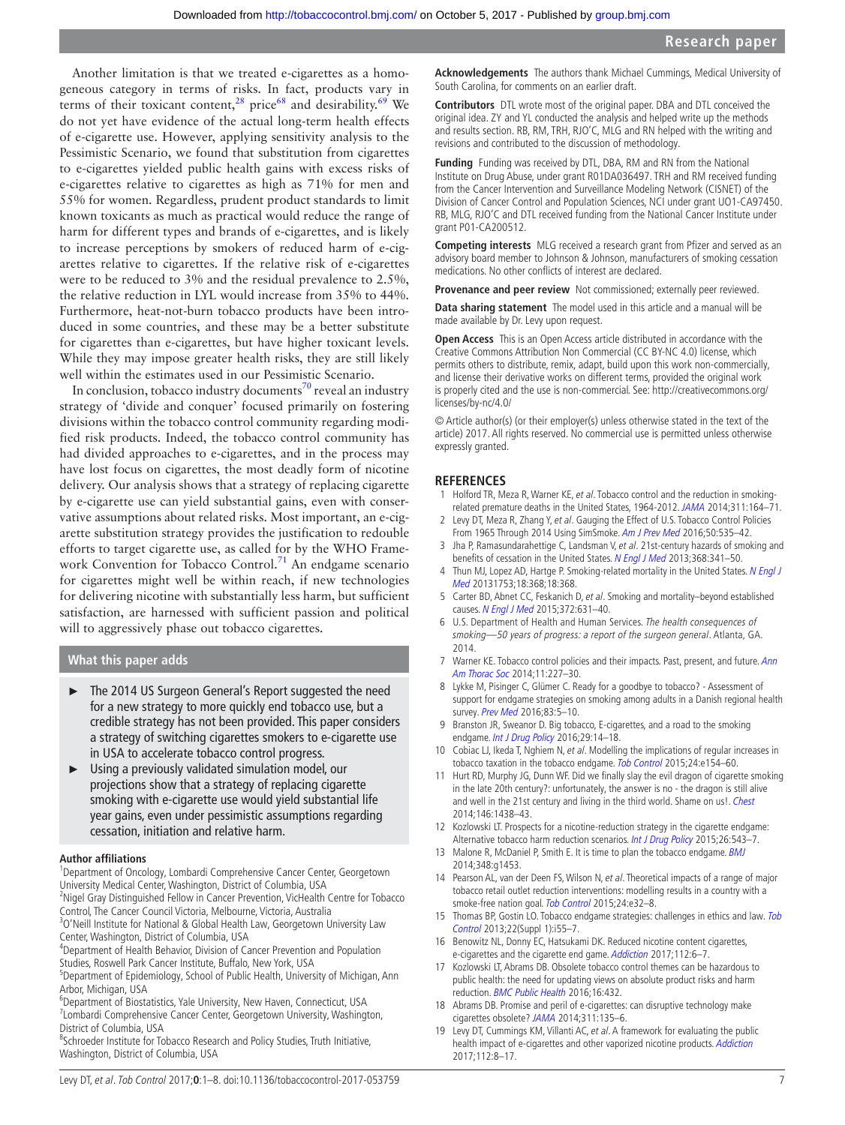Another limitation is that we treated e-cigarettes as a homogeneous category in terms of risks. In fact, products vary in terms of their toxicant content,<sup>28</sup> price<sup>68</sup> and desirability.<sup>69</sup> We do not yet have evidence of the actual long-term health effects of e-cigarette use. However, applying sensitivity analysis to the Pessimistic Scenario, we found that substitution from cigarettes to e-cigarettes yielded public health gains with excess risks of e-cigarettes relative to cigarettes as high as 71% for men and 55% for women. Regardless, prudent product standards to limit known toxicants as much as practical would reduce the range of harm for different types and brands of e-cigarettes, and is likely to increase perceptions by smokers of reduced harm of e-cigarettes relative to cigarettes. If the relative risk of e-cigarettes were to be reduced to 3% and the residual prevalence to 2.5%, the relative reduction in LYL would increase from 35% to 44%. Furthermore, heat-not-burn tobacco products have been introduced in some countries, and these may be a better substitute for cigarettes than e-cigarettes, but have higher toxicant levels. While they may impose greater health risks, they are still likely well within the estimates used in our Pessimistic Scenario.

In conclusion, tobacco industry documents<sup>70</sup> reveal an industry strategy of 'divide and conquer' focused primarily on fostering divisions within the tobacco control community regarding modified risk products. Indeed, the tobacco control community has had divided approaches to e-cigarettes, and in the process may have lost focus on cigarettes, the most deadly form of nicotine delivery. Our analysis shows that a strategy of replacing cigarette by e-cigarette use can yield substantial gains, even with conservative assumptions about related risks. Most important, an e-cigarette substitution strategy provides the justification to redouble efforts to target cigarette use, as called for by the WHO Frame-work Convention for Tobacco Control.<sup>[71](#page-7-25)</sup> An endgame scenario for cigarettes might well be within reach, if new technologies for delivering nicotine with substantially less harm, but sufficient satisfaction, are harnessed with sufficient passion and political will to aggressively phase out tobacco cigarettes.

# **What this paper adds**

- ► The 2014 US Surgeon General's Report suggested the need for a new strategy to more quickly end tobacco use, but a credible strategy has not been provided. This paper considers a strategy of switching cigarettes smokers to e-cigarette use in USA to accelerate tobacco control progress.
- ► Using a previously validated simulation model, our projections show that a strategy of replacing cigarette smoking with e-cigarette use would yield substantial life year gains, even under pessimistic assumptions regarding cessation, initiation and relative harm.

#### **Author affiliations**

<sup>1</sup>Department of Oncology, Lombardi Comprehensive Cancer Center, Georgetown University Medical Center, Washington, District of Columbia, USA

<sup>2</sup>Nigel Gray Distinguished Fellow in Cancer Prevention, VicHealth Centre for Tobacco Control, The Cancer Council Victoria, Melbourne, Victoria, Australia

<sup>3</sup>O'Neill Institute for National & Global Health Law, Georgetown University Law Center, Washington, District of Columbia, USA

4 Department of Health Behavior, Division of Cancer Prevention and Population Studies, Roswell Park Cancer Institute, Buffalo, New York, USA

5 Department of Epidemiology, School of Public Health, University of Michigan, Ann Arbor, Michigan, USA

6 Department of Biostatistics, Yale University, New Haven, Connecticut, USA <sup>7</sup> Lombardi Comprehensive Cancer Center, Georgetown University, Washington, District of Columbia, USA

<sup>8</sup>Schroeder Institute for Tobacco Research and Policy Studies, Truth Initiative, Washington, District of Columbia, USA

**Acknowledgements** The authors thank Michael Cummings, Medical University of South Carolina, for comments on an earlier draft.

**Contributors** DTL wrote most of the original paper. DBA and DTL conceived the original idea. ZY and YL conducted the analysis and helped write up the methods and results section. RB, RM, TRH, RJO'C, MLG and RN helped with the writing and revisions and contributed to the discussion of methodology.

**Funding** Funding was received by DTL, DBA, RM and RN from the National Institute on Drug Abuse, under grant R01DA036497. TRH and RM received funding from the Cancer Intervention and Surveillance Modeling Network (CISNET) of the Division of Cancer Control and Population Sciences, NCI under grant UO1-CA97450. RB, MLG, RJO'C and DTL received funding from the National Cancer Institute under grant P01-CA200512.

**Competing interests** MLG received a research grant from Pfizer and served as an advisory board member to Johnson & Johnson, manufacturers of smoking cessation medications. No other conflicts of interest are declared.

**Provenance and peer review** Not commissioned; externally peer reviewed.

**Data sharing statement** The model used in this article and a manual will be made available by Dr. Levy upon request.

**Open Access** This is an Open Access article distributed in accordance with the Creative Commons Attribution Non Commercial (CC BY-NC 4.0) license, which permits others to distribute, remix, adapt, build upon this work non-commercially, and license their derivative works on different terms, provided the original work is properly cited and the use is non-commercial. See: [http://creativecommons.org/](http://creativecommons.org/licenses/by-nc/4.0/) [licenses/by-nc/4.0/](http://creativecommons.org/licenses/by-nc/4.0/)

© Article author(s) (or their employer(s) unless otherwise stated in the text of the article) 2017. All rights reserved. No commercial use is permitted unless otherwise expressly granted.

#### **References**

- <span id="page-6-0"></span>1 Holford TR, Meza R, Warner KE, et al. Tobacco control and the reduction in smokingrelated premature deaths in the United States, 1964-2012. [JAMA](http://dx.doi.org/10.1001/jama.2013.285112) 2014;311:164–71.
- 2 Levy DT, Meza R, Zhang Y, et al. Gauging the Effect of U.S. Tobacco Control Policies From 1965 Through 2014 Using SimSmoke. [Am J Prev Med](http://dx.doi.org/10.1016/j.amepre.2015.10.001) 2016;50:535-42.
- <span id="page-6-1"></span>3 Jha P, Ramasundarahettige C, Landsman V, et al. 21st-century hazards of smoking and benefits of cessation in the United States. [N Engl J Med](http://dx.doi.org/10.1056/NEJMsa1211128) 2013;368:341-50.
- 4 Thun MJ, Lopez AD, Hartge P. Smoking-related mortality in the United States. N Engl J Med 20131753;18:368;18:368.
- 5 Carter BD, Abnet CC, Feskanich D, et al. Smoking and mortality–beyond established causes. [N Engl J Med](http://dx.doi.org/10.1056/NEJMsa1407211) 2015;372:631-40.
- <span id="page-6-2"></span>6 U.S. Department of Health and Human Services. The health consequences of smoking—50 years of progress: a report of the surgeon general. Atlanta, GA. 2014.
- <span id="page-6-4"></span>7 Warner KE. Tobacco control policies and their impacts. Past, present, and future. Ann [Am Thorac Soc](http://dx.doi.org/10.1513/AnnalsATS.201307-244PS) 2014;11:227–30.
- <span id="page-6-3"></span>8 Lykke M, Pisinger C, Glümer C. Ready for a goodbye to tobacco? - Assessment of support for endgame strategies on smoking among adults in a Danish regional health survey. [Prev Med](http://dx.doi.org/10.1016/j.ypmed.2015.11.016) 2016;83:5–10.
- 9 Branston JR, Sweanor D. Big tobacco, E-cigarettes, and a road to the smoking endgame. [Int J Drug Policy](http://dx.doi.org/10.1016/j.drugpo.2015.12.023) 2016;29:14-18.
- <span id="page-6-7"></span>10 Cobiac LJ, Ikeda T, Nghiem N, et al. Modelling the implications of regular increases in tobacco taxation in the tobacco endgame. [Tob Control](http://dx.doi.org/10.1136/tobaccocontrol-2014-051543) 2015;24:e154-60.
- 11 Hurt RD, Murphy JG, Dunn WF. Did we finally slay the evil dragon of cigarette smoking in the late 20th century?: unfortunately, the answer is no - the dragon is still alive and well in the 21st century and living in the third world. Shame on us!. [Chest](http://dx.doi.org/10.1378/chest.13-2804) 2014;146:1438–43.
- 12 Kozlowski LT. Prospects for a nicotine-reduction strategy in the cigarette endgame: Alternative tobacco harm reduction scenarios. [Int J Drug Policy](http://dx.doi.org/10.1016/j.drugpo.2015.02.001) 2015;26:543-7.
- 13 Malone R, McDaniel P, Smith E. It is time to plan the tobacco endgame. [BMJ](http://dx.doi.org/10.1136/bmj.g1453) 2014;348:g1453.
- 14 Pearson AL, van der Deen FS, Wilson N, et al. Theoretical impacts of a range of major tobacco retail outlet reduction interventions: modelling results in a country with a smoke-free nation goal. [Tob Control](http://dx.doi.org/10.1136/tobaccocontrol-2013-051362) 2015;24:e32-8.
- 15 Thomas BP, Gostin LO. Tobacco endgame strategies: challenges in ethics and law. Tob [Control](http://dx.doi.org/10.1136/tobaccocontrol-2012-050839) 2013;22(Suppl 1):i55–7.
- <span id="page-6-8"></span>16 Benowitz NL, Donny EC, Hatsukami DK. Reduced nicotine content cigarettes, e-cigarettes and the cigarette end game. [Addiction](http://dx.doi.org/10.1111/add.13534) 2017;112:6-7.
- <span id="page-6-5"></span>17 Kozlowski LT, Abrams DB. Obsolete tobacco control themes can be hazardous to public health: the need for updating views on absolute product risks and harm reduction. **[BMC Public Health](http://dx.doi.org/10.1186/s12889-016-3079-9) 2016**; 16:432.
- 18 Abrams DB. Promise and peril of e-cigarettes: can disruptive technology make cigarettes obsolete? [JAMA](http://dx.doi.org/10.1001/jama.2013.285347) 2014;311:135–6.
- <span id="page-6-6"></span>Levy DT, Cummings KM, Villanti AC, et al. A framework for evaluating the public health impact of e-cigarettes and other vaporized nicotine products. [Addiction](http://dx.doi.org/10.1111/add.13394) 2017;112:8–17.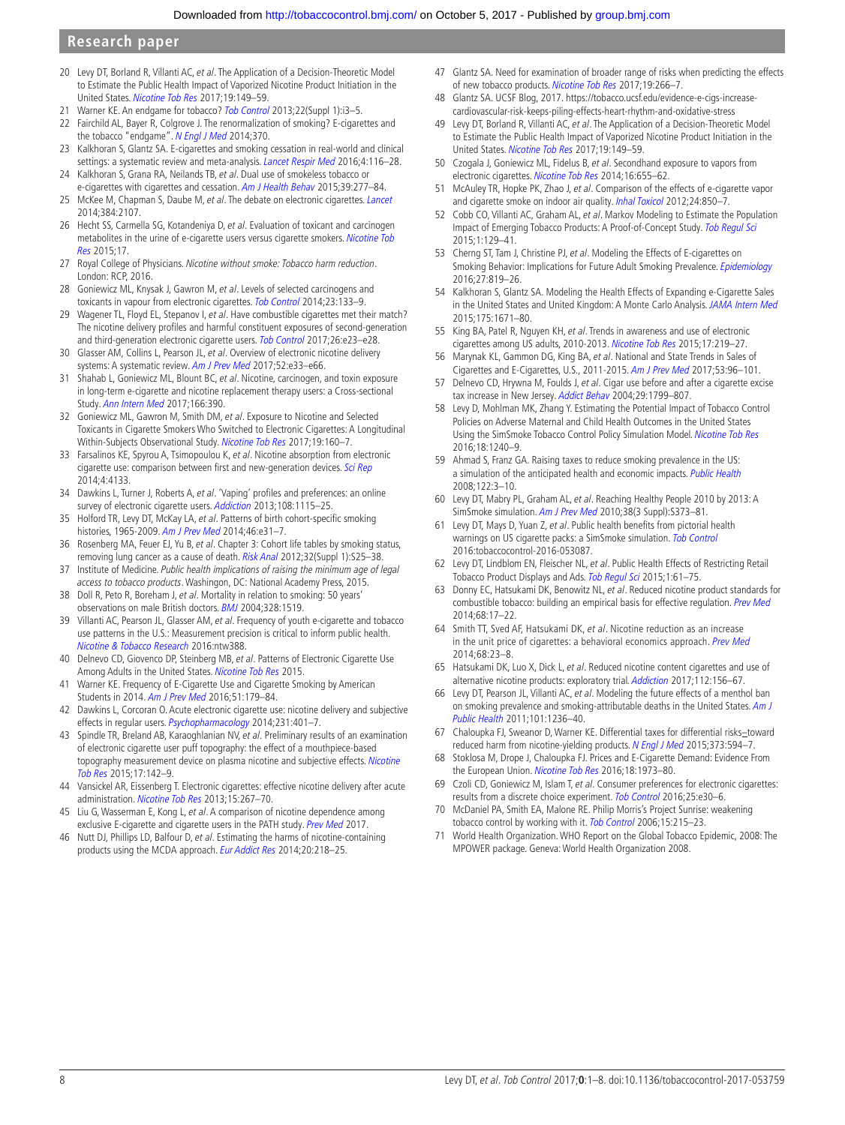- 20 Levy DT, Borland R, Villanti AC, et al. The Application of a Decision-Theoretic Model to Estimate the Public Health Impact of Vaporized Nicotine Product Initiation in the United States. [Nicotine Tob Res](http://dx.doi.org/10.1093/ntr/ntw158) 2017;19:149–59.
- 21 Warner KE. An endgame for tobacco? [Tob Control](http://dx.doi.org/10.1136/tobaccocontrol-2013-050989) 2013;22(Suppl 1):i3-5.
- <span id="page-7-0"></span>22 Fairchild AL, Bayer R, Colgrove J. The renormalization of smoking? E-cigarettes and the tobacco "endgame". [N Engl J Med](http://dx.doi.org/10.1056/NEJMp1313940) 2014;370.
- 23 Kalkhoran S, Glantz SA. E-cigarettes and smoking cessation in real-world and clinical settings: a systematic review and meta-analysis. [Lancet Respir Med](http://dx.doi.org/10.1016/S2213-2600(15)00521-4) 2016;4:116-28.
- 24 Kalkhoran S, Grana RA, Neilands TB, et al. Dual use of smokeless tobacco or e-cigarettes with cigarettes and cessation. [Am J Health Behav](http://dx.doi.org/10.5993/AJHB.39.2.14) 2015;39:277-84.
- 25 McKee M, Chapman S, Daube M, et al. The debate on electronic cigarettes. [Lancet](http://dx.doi.org/10.1016/S0140-6736(14)62366-7) 2014;384:2107.
- <span id="page-7-1"></span>26 Hecht SS, Carmella SG, Kotandeniya D, et al. Evaluation of toxicant and carcinogen metabolites in the urine of e-cigarette users versus cigarette smokers. Nicotine Tob [Res](http://dx.doi.org/10.1093/ntr/ntu218) 2015;17.
- <span id="page-7-9"></span>27 Royal College of Physicians. Nicotine without smoke: Tobacco harm reduction. London: RCP, 2016.
- <span id="page-7-21"></span>28 Goniewicz ML, Knysak J, Gawron M, et al. Levels of selected carcinogens and toxicants in vapour from electronic cigarettes. [Tob Control](http://dx.doi.org/10.1136/tobaccocontrol-2012-050859) 2014;23:133-9.
- <span id="page-7-2"></span>29 Wagener TL, Floyd EL, Stepanov I, et al. Have combustible cigarettes met their match? The nicotine delivery profiles and harmful constituent exposures of second-generation and third-generation electronic cigarette users. [Tob Control](http://dx.doi.org/10.1136/tobaccocontrol-2016-053041) 2017;26:e23-e28.
- 30 Glasser AM, Collins L, Pearson JL, et al. Overview of electronic nicotine delivery systems: A systematic review. [Am J Prev Med](http://dx.doi.org/10.1016/j.amepre.2016.10.036) 2017;52:e33-e66.
- 31 Shahab L, Goniewicz ML, Blount BC, et al. Nicotine, carcinogen, and toxin exposure in long-term e-cigarette and nicotine replacement therapy users: a Cross-sectional Study. [Ann Intern Med](http://dx.doi.org/10.7326/M16-1107) 2017;166:390.
- 32 Goniewicz ML, Gawron M, Smith DM, et al. Exposure to Nicotine and Selected Toxicants in Cigarette Smokers Who Switched to Electronic Cigarettes: A Longitudinal Within-Subjects Observational Study. [Nicotine Tob Res](http://dx.doi.org/10.1093/ntr/ntw160) 2017;19:160-7.
- <span id="page-7-8"></span>33 Farsalinos KE, Spyrou A, Tsimopoulou K, et al. Nicotine absorption from electronic cigarette use: comparison between first and new-generation devices. [Sci Rep](http://dx.doi.org/10.1038/srep04133) 2014;4:4133.
- <span id="page-7-3"></span>34 Dawkins L, Turner J, Roberts A, et al. 'Vaping' profiles and preferences: an online survey of electronic cigarette users. [Addiction](http://dx.doi.org/10.1111/add.12150) 2013;108:1115-25.
- <span id="page-7-5"></span>35 Holford TR, Levy DT, McKay LA, et al. Patterns of birth cohort-specific smoking histories, 1965-2009. [Am J Prev Med](http://dx.doi.org/10.1016/j.amepre.2013.10.022) 2014;46:e31-7.
- <span id="page-7-4"></span>36 Rosenberg MA, Feuer EJ, Yu B, et al. Chapter 3: Cohort life tables by smoking status, removing lung cancer as a cause of death. [Risk Anal](http://dx.doi.org/10.1111/j.1539-6924.2011.01662.x) 2012;32(Suppl 1):S25-38.
- <span id="page-7-20"></span>37 Institute of Medicine. Public health implications of raising the minimum age of legal access to tobacco products. Washingon, DC: National Academy Press, 2015.
- <span id="page-7-6"></span>38 Doll R, Peto R, Boreham J, et al. Mortality in relation to smoking: 50 years' observations on male British doctors. [BMJ](http://dx.doi.org/10.1136/bmj.38142.554479.AE) 2004;328:1519.
- <span id="page-7-7"></span>39 Villanti AC, Pearson JL, Glasser AM, et al. Frequency of youth e-cigarette and tobacco use patterns in the U.S.: Measurement precision is critical to inform public health. [Nicotine & Tobacco Research](http://dx.doi.org/10.1093/ntr/ntw388) 2016:ntw388.
- 40 Delnevo CD, Giovenco DP, Steinberg MB, et al. Patterns of Electronic Cigarette Use Among Adults in the United States. Nicotine Tob Res 2015.
- 41 Warner KE. Frequency of E-Cigarette Use and Cigarette Smoking by American Students in 2014. [Am J Prev Med](http://dx.doi.org/10.1016/j.amepre.2015.12.004) 2016;51:179–84.
- 42 Dawkins L, Corcoran O. Acute electronic cigarette use: nicotine delivery and subjective effects in regular users. [Psychopharmacology](http://dx.doi.org/10.1007/s00213-013-3249-8) 2014;231:401-7.
- 43 Spindle TR, Breland AB, Karaoghlanian NV, et al. Preliminary results of an examination of electronic cigarette user puff topography: the effect of a mouthpiece-based topography measurement device on plasma nicotine and subjective effects. Nicotine [Tob Res](http://dx.doi.org/10.1093/ntr/ntu186) 2015;17:142–9.
- 44 Vansickel AR, Eissenberg T. Electronic cigarettes: effective nicotine delivery after acute administration. [Nicotine Tob Res](http://dx.doi.org/10.1093/ntr/ntr316) 2013;15:267–70.
- 45 Liu G, Wasserman E, Kong L, et al. A comparison of nicotine dependence among exclusive E-cigarette and cigarette users in the PATH study. [Prev Med](http://dx.doi.org/10.1016/j.ypmed.2017.04.001) 2017.
- 46 Nutt DJ, Phillips LD, Balfour D, et al. Estimating the harms of nicotine-containing products using the MCDA approach. [Eur Addict Res](http://dx.doi.org/10.1159/000360220) 2014;20:218-25.
- <span id="page-7-10"></span>47 Glantz SA. Need for examination of broader range of risks when predicting the effects of new tobacco products. [Nicotine Tob Res](http://dx.doi.org/10.1093/ntr/ntw231) 2017;19:266–7.
- 48 Glantz SA. UCSF Blog, 2017. [https://tobacco.ucsf.edu/evidence-e-cigs-increase](https://tobacco.ucsf.edu/evidence-e-cigs-increase-cardiovascular-risk-keeps-piling-effects-heart-rhythm-and-oxidative-stress)[cardiovascular-risk-keeps-piling-effects-heart-rhythm-and-oxidative-stress](https://tobacco.ucsf.edu/evidence-e-cigs-increase-cardiovascular-risk-keeps-piling-effects-heart-rhythm-and-oxidative-stress)
- <span id="page-7-12"></span>49 Levy DT, Borland R, Villanti AC, et al. The Application of a Decision-Theoretic Model to Estimate the Public Health Impact of Vaporized Nicotine Product Initiation in the United States. [Nicotine Tob Res](http://dx.doi.org/10.1093/ntr/ntw158) 2017;19:149–59.
- <span id="page-7-11"></span>50 Czogala J, Goniewicz ML, Fidelus B, et al. Secondhand exposure to vapors from electronic cigarettes. [Nicotine Tob Res](http://dx.doi.org/10.1093/ntr/ntt203) 2014;16:655–62.
- 51 McAuley TR, Hopke PK, Zhao J, et al. Comparison of the effects of e-cigarette vapor and cigarette smoke on indoor air quality. [Inhal Toxicol](http://dx.doi.org/10.3109/08958378.2012.724728) 2012;24:850-7.
- 52 Cobb CO, Villanti AC, Graham AL, et al. Markov Modeling to Estimate the Population Impact of Emerging Tobacco Products: A Proof-of-Concept Study. [Tob Regul Sci](http://dx.doi.org/10.18001/TRS.1.2.3) 2015;1:129–41.
- 53 Cherng ST, Tam J, Christine PJ, et al. Modeling the Effects of E-cigarettes on Smoking Behavior: Implications for Future Adult Smoking Prevalence. *[Epidemiology](http://dx.doi.org/10.1097/EDE.0000000000000497)* 2016;27:819–26.
- 54 Kalkhoran S, Glantz SA. Modeling the Health Effects of Expanding e-Cigarette Sales in the United States and United Kingdom: A Monte Carlo Analysis. [JAMA Intern Med](http://dx.doi.org/10.1001/jamainternmed.2015.4209) 2015;175:1671–80.
- <span id="page-7-13"></span>55 King BA, Patel R, Nguyen KH, et al. Trends in awareness and use of electronic cigarettes among US adults, 2010-2013. [Nicotine Tob Res](http://dx.doi.org/10.1093/ntr/ntu191) 2015;17:219–27.
- 56 Marynak KL, Gammon DG, King BA, et al. National and State Trends in Sales of Cigarettes and E-Cigarettes, U.S., 2011-2015. [Am J Prev Med](http://dx.doi.org/10.1016/j.amepre.2017.01.016) 2017;53:96–101.
- <span id="page-7-14"></span>57 Delnevo CD, Hrywna M, Foulds J, et al. Cigar use before and after a cigarette excise tax increase in New Jersey. [Addict Behav](http://dx.doi.org/10.1016/j.addbeh.2004.04.024) 2004;29:1799-807.
- 58 Levy D, Mohlman MK, Zhang Y. Estimating the Potential Impact of Tobacco Control Policies on Adverse Maternal and Child Health Outcomes in the United States Using the SimSmoke Tobacco Control Policy Simulation Model. [Nicotine Tob Res](http://dx.doi.org/10.1093/ntr/ntv178) 2016;18:1240–9.
- 59 Ahmad S, Franz GA. Raising taxes to reduce smoking prevalence in the US: a simulation of the anticipated health and economic impacts. [Public Health](http://dx.doi.org/10.1016/j.puhe.2007.02.020) 2008;122:3–10.
- 60 Levy DT, Mabry PL, Graham AL, et al. Reaching Healthy People 2010 by 2013: A SimSmoke simulation. [Am J Prev Med](http://dx.doi.org/10.1016/j.amepre.2009.11.018) 2010;38(3 Suppl):S373-81.
- <span id="page-7-15"></span>61 Levy DT, Mays D, Yuan Z, et al. Public health benefits from pictorial health warnings on US cigarette packs: a SimSmoke simulation. [Tob Control](http://dx.doi.org/10.1136/tobaccocontrol-2016-053087) 2016:tobaccocontrol-2016-053087.
- <span id="page-7-16"></span>62 Levy DT, Lindblom EN, Fleischer NL, et al. Public Health Effects of Restricting Retail Tobacco Product Displays and Ads. [Tob Regul Sci](http://dx.doi.org/10.18001/TRS.1.1.7) 2015;1:61-75.
- 63 Donny EC, Hatsukami DK, Benowitz NL, et al. Reduced nicotine product standards for combustible tobacco: building an empirical basis for effective regulation. [Prev Med](http://dx.doi.org/10.1016/j.ypmed.2014.06.020) 2014;68:17–22.
- 64 Smith TT, Sved AF, Hatsukami DK, et al. Nicotine reduction as an increase in the unit price of cigarettes: a behavioral economics approach. [Prev Med](http://dx.doi.org/10.1016/j.ypmed.2014.07.005) 2014;68:23–8.
- <span id="page-7-17"></span>65 Hatsukami DK, Luo X, Dick L, et al. Reduced nicotine content cigarettes and use of alternative nicotine products: exploratory trial. [Addiction](http://dx.doi.org/10.1111/add.13603) 2017;112:156-67.
- <span id="page-7-18"></span>66 Levy DT, Pearson JL, Villanti AC, et al. Modeling the future effects of a menthol ban on smoking prevalence and smoking-attributable deaths in the United States. [Am J](http://dx.doi.org/10.2105/AJPH.2011.300179)  [Public Health](http://dx.doi.org/10.2105/AJPH.2011.300179) 2011;101:1236–40.
- <span id="page-7-19"></span>67 Chaloupka FJ, Sweanor D, Warner KE. Differential taxes for differential risks–toward reduced harm from nicotine-yielding products. [N Engl J Med](http://dx.doi.org/10.1056/NEJMp1505710) 2015;373:594-7.
- <span id="page-7-22"></span>Stoklosa M, Drope J, Chaloupka FJ. Prices and E-Cigarette Demand: Evidence From the European Union. [Nicotine Tob Res](http://dx.doi.org/10.1093/ntr/ntw109) 2016;18:1973-80.
- <span id="page-7-23"></span>69 Czoli CD, Goniewicz M, Islam T, et al. Consumer preferences for electronic cigarettes: results from a discrete choice experiment. [Tob Control](http://dx.doi.org/10.1136/tobaccocontrol-2015-052422) 2016;25:e30-6.
- <span id="page-7-24"></span>70 McDaniel PA, Smith EA, Malone RE. Philip Morris's Project Sunrise: weakening tobacco control by working with it. [Tob Control](http://dx.doi.org/10.1136/tc.2005.014977) 2006;15:215-23.
- <span id="page-7-25"></span>71 World Health Organization. WHO Report on the Global Tobacco Epidemic, 2008: The MPOWER package. Geneva: World Health Organization 2008.